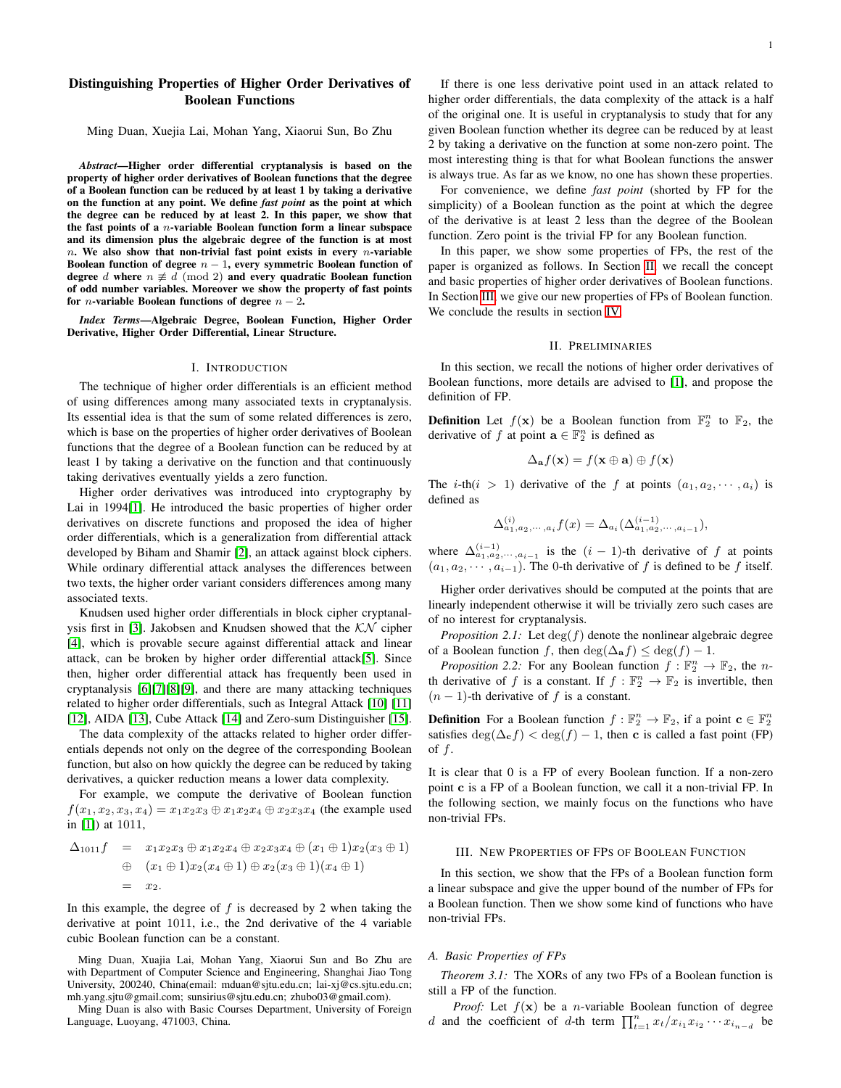# Distinguishing Properties of Higher Order Derivatives of Boolean Functions

Ming Duan, Xuejia Lai, Mohan Yang, Xiaorui Sun, Bo Zhu

*Abstract*—Higher order differential cryptanalysis is based on the property of higher order derivatives of Boolean functions that the degree of a Boolean function can be reduced by at least 1 by taking a derivative on the function at any point. We define *fast point* as the point at which the degree can be reduced by at least 2. In this paper, we show that the fast points of a  $n$ -variable Boolean function form a linear subspace and its dimension plus the algebraic degree of the function is at most  $n.$  We also show that non-trivial fast point exists in every  $n$ -variable Boolean function of degree  $n - 1$ , every symmetric Boolean function of degree d where  $n \not\equiv d \pmod{2}$  and every quadratic Boolean function of odd number variables. Moreover we show the property of fast points for *n*-variable Boolean functions of degree  $n - 2$ .

*Index Terms*—Algebraic Degree, Boolean Function, Higher Order Derivative, Higher Order Differential, Linear Structure.

# I. INTRODUCTION

The technique of higher order differentials is an efficient method of using differences among many associated texts in cryptanalysis. Its essential idea is that the sum of some related differences is zero, which is base on the properties of higher order derivatives of Boolean functions that the degree of a Boolean function can be reduced by at least 1 by taking a derivative on the function and that continuously taking derivatives eventually yields a zero function.

Higher order derivatives was introduced into cryptography by Lai in 1994[\[1\]](#page-2-0). He introduced the basic properties of higher order derivatives on discrete functions and proposed the idea of higher order differentials, which is a generalization from differential attack developed by Biham and Shamir [\[2\]](#page-2-1), an attack against block ciphers. While ordinary differential attack analyses the differences between two texts, the higher order variant considers differences among many associated texts.

Knudsen used higher order differentials in block cipher cryptanal-ysis first in [\[3\]](#page-2-2). Jakobsen and Knudsen showed that the  $KN$  cipher [\[4\]](#page-2-3), which is provable secure against differential attack and linear attack, can be broken by higher order differential attack[\[5\]](#page-2-4). Since then, higher order differential attack has frequently been used in cryptanalysis [\[6\]](#page-2-5)[\[7\]](#page-2-6)[\[8\]](#page-2-7)[\[9\]](#page-2-8), and there are many attacking techniques related to higher order differentials, such as Integral Attack [\[10\]](#page-2-9) [\[11\]](#page-2-10) [\[12\]](#page-2-11), AIDA [\[13\]](#page-2-12), Cube Attack [\[14\]](#page-2-13) and Zero-sum Distinguisher [\[15\]](#page-2-14).

The data complexity of the attacks related to higher order differentials depends not only on the degree of the corresponding Boolean function, but also on how quickly the degree can be reduced by taking derivatives, a quicker reduction means a lower data complexity.

For example, we compute the derivative of Boolean function  $f(x_1, x_2, x_3, x_4) = x_1x_2x_3 \oplus x_1x_2x_4 \oplus x_2x_3x_4$  (the example used in [\[1\]](#page-2-0)) at 1011,

$$
\Delta_{1011}f = x_1x_2x_3 \oplus x_1x_2x_4 \oplus x_2x_3x_4 \oplus (x_1 \oplus 1)x_2(x_3 \oplus 1)
$$
  
\n
$$
\oplus (x_1 \oplus 1)x_2(x_4 \oplus 1) \oplus x_2(x_3 \oplus 1)(x_4 \oplus 1)
$$
  
\n
$$
= x_2.
$$

In this example, the degree of  $f$  is decreased by 2 when taking the derivative at point 1011, i.e., the 2nd derivative of the 4 variable cubic Boolean function can be a constant.

Ming Duan, Xuajia Lai, Mohan Yang, Xiaorui Sun and Bo Zhu are with Department of Computer Science and Engineering, Shanghai Jiao Tong University, 200240, China(email: mduan@sjtu.edu.cn; lai-xj@cs.sjtu.edu.cn; mh.yang.sjtu@gmail.com; sunsirius@sjtu.edu.cn; zhubo03@gmail.com).

Ming Duan is also with Basic Courses Department, University of Foreign Language, Luoyang, 471003, China.

For convenience, we define *fast point* (shorted by FP for the simplicity) of a Boolean function as the point at which the degree of the derivative is at least 2 less than the degree of the Boolean function. Zero point is the trivial FP for any Boolean function.

In this paper, we show some properties of FPs, the rest of the paper is organized as follows. In Section [II,](#page-0-0) we recall the concept and basic properties of higher order derivatives of Boolean functions. In Section [III,](#page-0-1) we give our new properties of FPs of Boolean function. We conclude the results in section [IV.](#page-2-15)

#### II. PRELIMINARIES

<span id="page-0-0"></span>In this section, we recall the notions of higher order derivatives of Boolean functions, more details are advised to [\[1\]](#page-2-0), and propose the definition of FP.

**Definition** Let  $f(\mathbf{x})$  be a Boolean function from  $\mathbb{F}_2^n$  to  $\mathbb{F}_2$ , the derivative of f at point  $\mathbf{a} \in \mathbb{F}_2^n$  is defined as

$$
\Delta_{\mathbf{a}}f(\mathbf{x}) = f(\mathbf{x} \oplus \mathbf{a}) \oplus f(\mathbf{x})
$$

The *i*-th(*i* > 1) derivative of the f at points  $(a_1, a_2, \dots, a_i)$  is defined as

$$
\Delta^{(i)}_{a_1, a_2, \cdots, a_i} f(x) = \Delta_{a_i}(\Delta^{(i-1)}_{a_1, a_2, \cdots, a_{i-1}}),
$$

where  $\Delta_{a_1, a_2, \dots, a_{i-1}}^{(i-1)}$  is the  $(i-1)$ -th derivative of f at points  $(a_1, a_2, \dots, a_{i-1})$ . The 0-th derivative of f is defined to be f itself.

Higher order derivatives should be computed at the points that are linearly independent otherwise it will be trivially zero such cases are of no interest for cryptanalysis.

*Proposition 2.1:* Let  $\deg(f)$  denote the nonlinear algebraic degree of a Boolean function f, then  $\deg(\Delta_{\mathbf{a}}f) \leq \deg(f) - 1$ .

*Proposition 2.2:* For any Boolean function  $f : \mathbb{F}_2^n \to \mathbb{F}_2$ , the *n*th derivative of f is a constant. If  $f : \mathbb{F}_2^n \to \mathbb{F}_2$  is invertible, then  $(n - 1)$ -th derivative of f is a constant.

**Definition** For a Boolean function  $f : \mathbb{F}_2^n \to \mathbb{F}_2$ , if a point  $\mathbf{c} \in \mathbb{F}_2^n$ satisfies  $\deg(\Delta_{\mathbf{c}}f) < \deg(f) - 1$ , then c is called a fast point (FP) of  $f$ .

It is clear that 0 is a FP of every Boolean function. If a non-zero point c is a FP of a Boolean function, we call it a non-trivial FP. In the following section, we mainly focus on the functions who have non-trivial FPs.

#### <span id="page-0-1"></span>III. NEW PROPERTIES OF FPS OF BOOLEAN FUNCTION

In this section, we show that the FPs of a Boolean function form a linear subspace and give the upper bound of the number of FPs for a Boolean function. Then we show some kind of functions who have non-trivial FPs.

#### *A. Basic Properties of FPs*

<span id="page-0-2"></span>*Theorem 3.1:* The XORs of any two FPs of a Boolean function is still a FP of the function.

*Proof:* Let  $f(x)$  be a *n*-variable Boolean function of degree d and the coefficient of d-th term  $\prod_{t=1}^{n} x_t/x_{i_1}x_{i_2}\cdots x_{i_{n-d}}$  be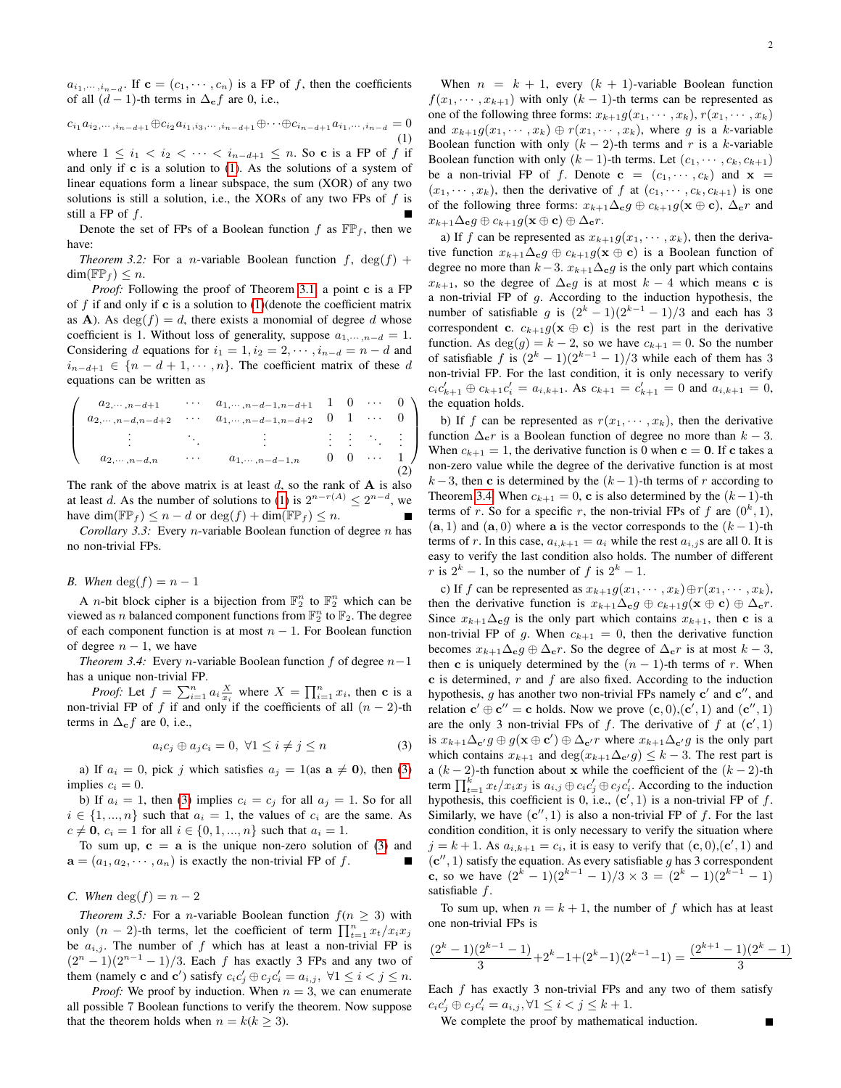$a_{i_1,\dots,i_{n-d}}$ . If  $\mathbf{c} = (c_1,\dots,c_n)$  is a FP of f, then the coefficients of all  $(d-1)$ -th terms in  $\Delta_{\mathbf{c}} f$  are 0, i.e.,

<span id="page-1-0"></span>
$$
c_{i_1} a_{i_2, \cdots, i_{n-d+1}} \oplus c_{i_2} a_{i_1, i_3, \cdots, i_{n-d+1}} \oplus \cdots \oplus c_{i_{n-d+1}} a_{i_1, \cdots, i_{n-d}} = 0
$$

$$
\tag{1}
$$

where  $1 \leq i_1 < i_2 < \cdots < i_{n-d+1} \leq n$ . So c is a FP of f if and only if  $c$  is a solution to  $(1)$ . As the solutions of a system of linear equations form a linear subspace, the sum (XOR) of any two solutions is still a solution, i.e., the XORs of any two FPs of  $f$  is still a FP of f.

Denote the set of FPs of a Boolean function f as  $\mathbb{FP}_f$ , then we have:

*Theorem 3.2:* For a *n*-variable Boolean function  $f$ ,  $deg(f)$  +  $\dim(\mathbb{FP}_f) \leq n$ .

*Proof:* Following the proof of Theorem [3.1,](#page-0-2) a point c is a FP of f if and only if c is a solution to  $(1)$  (denote the coefficient matrix as **A**). As  $deg(f) = d$ , there exists a monomial of degree d whose coefficient is 1. Without loss of generality, suppose  $a_1, \ldots, a-d = 1$ . Considering d equations for  $i_1 = 1, i_2 = 2, \cdots, i_{n-d} = n-d$  and  $i_{n-d+1} \in \{n-d+1,\dots,n\}$ . The coefficient matrix of these d equations can be written as

$$
\begin{pmatrix}\na_{2,\dots,n-d+1} & \cdots & a_{1,\dots,n-d-1,n-d+1} & 1 & 0 & \cdots & 0 \\
a_{2,\dots,n-d,n-d+2} & \cdots & a_{1,\dots,n-d-1,n-d+2} & 0 & 1 & \cdots & 0 \\
\vdots & \vdots & \ddots & \vdots & \vdots & \vdots & \ddots & \vdots \\
a_{2,\dots,n-d,n} & \cdots & a_{1,\dots,n-d-1,n} & 0 & 0 & \cdots & 1\n\end{pmatrix}
$$

The rank of the above matrix is at least  $d$ , so the rank of  $A$  is also at least d. As the number of solutions to [\(1\)](#page-1-0) is  $2^{n-r(A)} \leq 2^{n-d}$ , we have dim( $\mathbb{FP}_f$ )  $\leq n - d$  or  $\deg(f) + \dim(\mathbb{FP}_f) \leq n$ .

*Corollary 3.3:* Every *n*-variable Boolean function of degree *n* has no non-trivial FPs.

### *B.* When  $\deg(f) = n - 1$

A *n*-bit block cipher is a bijection from  $\mathbb{F}_2^n$  to  $\mathbb{F}_2^n$  which can be viewed as *n* balanced component functions from  $\mathbb{F}_2^n$  to  $\mathbb{F}_2$ . The degree of each component function is at most  $n - 1$ . For Boolean function of degree  $n - 1$ , we have

*Theorem 3.4:* Every *n*-variable Boolean function  $f$  of degree  $n-1$ has a unique non-trivial FP.

*Proof:* Let  $f = \sum_{i=1}^{n} a_i \frac{X}{x_i}$  where  $X = \prod_{i=1}^{n} x_i$ , then **c** is a non-trivial FP of f if and only if the coefficients of all  $(n - 2)$ -th terms in  $\Delta_{\mathbf{c}} f$  are 0, i.e.,

<span id="page-1-2"></span><span id="page-1-1"></span>
$$
a_i c_j \oplus a_j c_i = 0, \ \forall 1 \le i \ne j \le n \tag{3}
$$

a) If  $a_i = 0$ , pick j which satisfies  $a_j = 1$  (as  $a \neq 0$ ), then [\(3\)](#page-1-1) implies  $c_i = 0$ .

b) If  $a_i = 1$ , then [\(3\)](#page-1-1) implies  $c_i = c_j$  for all  $a_j = 1$ . So for all  $i \in \{1, ..., n\}$  such that  $a_i = 1$ , the values of  $c_i$  are the same. As  $c \neq 0$ ,  $c_i = 1$  for all  $i \in \{0, 1, ..., n\}$  such that  $a_i = 1$ .

To sum up,  $c = a$  is the unique non-zero solution of [\(3\)](#page-1-1) and  $\mathbf{a} = (a_1, a_2, \cdots, a_n)$  is exactly the non-trivial FP of f.

# *C.* When  $\deg(f) = n - 2$

*Theorem 3.5:* For a *n*-variable Boolean function  $f(n \geq 3)$  with only  $(n-2)$ -th terms, let the coefficient of term  $\prod_{t=1}^{n} x_t/x_i x_j$ be  $a_{i,j}$ . The number of f which has at least a non-trivial FP is  $(2^{n} - 1)(2^{n-1} - 1)/3$ . Each f has exactly 3 FPs and any two of them (namely **c** and **c**') satisfy  $c_i c'_j \oplus c_j c'_i = a_{i,j}$ ,  $\forall 1 \le i < j \le n$ .

*Proof:* We proof by induction. When  $n = 3$ , we can enumerate all possible 7 Boolean functions to verify the theorem. Now suppose that the theorem holds when  $n = k(k \geq 3)$ .

When  $n = k + 1$ , every  $(k + 1)$ -variable Boolean function  $f(x_1, \dots, x_{k+1})$  with only  $(k-1)$ -th terms can be represented as one of the following three forms:  $x_{k+1}g(x_1, \dots, x_k)$ ,  $r(x_1, \dots, x_k)$ and  $x_{k+1}g(x_1, \dots, x_k) \oplus r(x_1, \dots, x_k)$ , where g is a k-variable Boolean function with only  $(k - 2)$ -th terms and r is a k-variable Boolean function with only  $(k-1)$ -th terms. Let  $(c_1, \dots, c_k, c_{k+1})$ be a non-trivial FP of f. Denote  $c = (c_1, \dots, c_k)$  and  $x =$  $(x_1, \dots, x_k)$ , then the derivative of f at  $(c_1, \dots, c_k, c_{k+1})$  is one of the following three forms:  $x_{k+1}\Delta_{\mathbf{c}}g \oplus c_{k+1}g(\mathbf{x} \oplus \mathbf{c})$ ,  $\Delta_{\mathbf{c}}r$  and  $x_{k+1}\Delta_{\mathbf{c}}g \oplus c_{k+1}g(\mathbf{x} \oplus \mathbf{c}) \oplus \Delta_{\mathbf{c}}r.$ 

a) If f can be represented as  $x_{k+1}g(x_1, \dots, x_k)$ , then the derivative function  $x_{k+1}\Delta_{\mathbf{c}}g \oplus c_{k+1}g(\mathbf{x} \oplus \mathbf{c})$  is a Boolean function of degree no more than  $k-3$ .  $x_{k+1}\Delta_{\mathbf{c}}g$  is the only part which contains  $x_{k+1}$ , so the degree of  $\Delta_{\mathbf{c}} g$  is at most  $k-4$  which means c is a non-trivial FP of  $g$ . According to the induction hypothesis, the number of satisfiable g is  $(2<sup>k</sup> - 1)(2<sup>k-1</sup> - 1)/3$  and each has 3 correspondent c.  $c_{k+1}g(\mathbf{x} \oplus \mathbf{c})$  is the rest part in the derivative function. As  $deg(g) = k - 2$ , so we have  $c_{k+1} = 0$ . So the number of satisfiable f is  $(2<sup>k</sup> - 1)(2<sup>k-1</sup> - 1)/3$  while each of them has 3 non-trivial FP. For the last condition, it is only necessary to verify  $c_i c'_{k+1} \oplus c_{k+1} c'_i = a_{i,k+1}$ . As  $c_{k+1} = c'_{k+1} = 0$  and  $a_{i,k+1} = 0$ , the equation holds.

b) If f can be represented as  $r(x_1, \dots, x_k)$ , then the derivative function  $\Delta_{\mathbf{c}} r$  is a Boolean function of degree no more than  $k - 3$ . When  $c_{k+1} = 1$ , the derivative function is 0 when  $c = 0$ . If c takes a non-zero value while the degree of the derivative function is at most  $k-3$ , then c is determined by the  $(k-1)$ -th terms of r according to Theorem [3.4.](#page-1-2) When  $c_{k+1} = 0$ , c is also determined by the  $(k-1)$ -th terms of r. So for a specific r, the non-trivial FPs of f are  $(0^k, 1)$ ,  $(a, 1)$  and  $(a, 0)$  where a is the vector corresponds to the  $(k - 1)$ -th terms of r. In this case,  $a_{i,k+1} = a_i$  while the rest  $a_{i,j}$ s are all 0. It is easy to verify the last condition also holds. The number of different r is  $2^k - 1$ , so the number of f is  $2^k - 1$ .

c) If f can be represented as  $x_{k+1}g(x_1, \dots, x_k) \oplus r(x_1, \dots, x_k)$ , then the derivative function is  $x_{k+1}\Delta_{\mathbf{c}}g \oplus c_{k+1}g(\mathbf{x} \oplus \mathbf{c}) \oplus \Delta_{\mathbf{c}}r$ . Since  $x_{k+1}\Delta_{\mathbf{c}}g$  is the only part which contains  $x_{k+1}$ , then **c** is a non-trivial FP of g. When  $c_{k+1} = 0$ , then the derivative function becomes  $x_{k+1}\Delta_{\mathbf{c}}g \oplus \Delta_{\mathbf{c}}r$ . So the degree of  $\Delta_{\mathbf{c}}r$  is at most  $k-3$ , then c is uniquely determined by the  $(n - 1)$ -th terms of r. When  $c$  is determined,  $r$  and  $f$  are also fixed. According to the induction hypothesis, g has another two non-trivial FPs namely  $c'$  and  $c''$ , and relation  $\mathbf{c}' \oplus \mathbf{c}'' = \mathbf{c}$  holds. Now we prove  $(\mathbf{c}, 0), (\mathbf{c}', 1)$  and  $(\mathbf{c}'', 1)$ are the only 3 non-trivial FPs of f. The derivative of f at  $(c', 1)$ is  $x_{k+1}\Delta_{\mathbf{c}'}g \oplus g(\mathbf{x} \oplus \mathbf{c}') \oplus \Delta_{\mathbf{c}'}r$  where  $x_{k+1}\Delta_{\mathbf{c}'}g$  is the only part which contains  $x_{k+1}$  and  $\deg(x_{k+1}\Delta_{\mathbf{c}'}g) \leq k-3$ . The rest part is a (k − 2)-th function about x while the coefficient of the  $(k - 2)$ -th term  $\prod_{t=1}^{k} x_t/x_ix_j$  is  $a_{i,j} \oplus c_i c'_j \oplus c_j c'_i$ . According to the induction hypothesis, this coefficient is 0, i.e.,  $(c', 1)$  is a non-trivial FP of f. Similarly, we have  $(c'', 1)$  is also a non-trivial FP of f. For the last condition condition, it is only necessary to verify the situation where  $j = k + 1$ . As  $a_{i,k+1} = c_i$ , it is easy to verify that  $(c, 0), (c', 1)$  and  $(c'', 1)$  satisfy the equation. As every satisfiable g has 3 correspondent c, so we have  $(2^{k} - 1)(2^{k-1} - 1)/3 \times 3 = (2^{k} - 1)(2^{k-1} - 1)$ satisfiable f.

To sum up, when  $n = k + 1$ , the number of f which has at least one non-trivial FPs is

$$
\frac{(2^k-1)(2^{k-1}-1)}{3}+2^k-1+(2^k-1)(2^{k-1}-1)=\frac{(2^{k+1}-1)(2^k-1)}{3}
$$

Each  $f$  has exactly 3 non-trivial FPs and any two of them satisfy  $c_i c'_j \oplus c_j c'_i = a_{i,j}, \forall 1 \leq i < j \leq k+1.$ 

We complete the proof by mathematical induction.